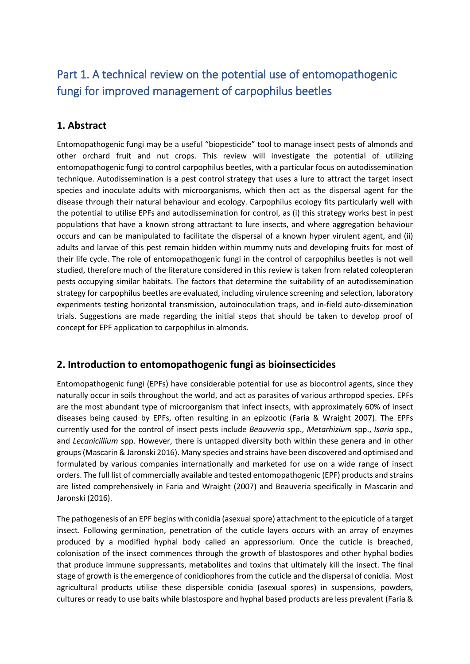# Part 1. A technical review on the potential use of entomopathogenic fungi for improved management of carpophilus beetles

## **1. Abstract**

Entomopathogenic fungi may be a useful "biopesticide" tool to manage insect pests of almonds and other orchard fruit and nut crops. This review will investigate the potential of utilizing entomopathogenic fungi to control carpophilus beetles, with a particular focus on autodissemination technique. Autodissemination is a pest control strategy that uses a lure to attract the target insect species and inoculate adults with microorganisms, which then act as the dispersal agent for the disease through their natural behaviour and ecology. Carpophilus ecology fits particularly well with the potential to utilise EPFs and autodissemination for control, as (i) this strategy works best in pest populations that have a known strong attractant to lure insects, and where aggregation behaviour occurs and can be manipulated to facilitate the dispersal of a known hyper virulent agent, and (ii) adults and larvae of this pest remain hidden within mummy nuts and developing fruits for most of their life cycle. The role of entomopathogenic fungi in the control of carpophilus beetles is not well studied, therefore much of the literature considered in this review is taken from related coleopteran pests occupying similar habitats. The factors that determine the suitability of an autodissemination strategy for carpophilus beetles are evaluated, including virulence screening and selection, laboratory experiments testing horizontal transmission, autoinoculation traps, and in-field auto-dissemination trials. Suggestions are made regarding the initial steps that should be taken to develop proof of concept for EPF application to carpophilus in almonds.

## **2. Introduction to entomopathogenic fungi as bioinsecticides**

Entomopathogenic fungi (EPFs) have considerable potential for use as biocontrol agents, since they naturally occur in soils throughout the world, and act as parasites of various arthropod species. EPFs are the most abundant type of microorganism that infect insects, with approximately 60% of insect diseases being caused by EPFs, often resulting in an epizootic (Faria & Wraight 2007). The EPFs currently used for the control of insect pests include *Beauveria* spp., *Metarhizium* spp., *Isaria* spp.*,*  and *Lecanicillium* spp. However, there is untapped diversity both within these genera and in other groups (Mascarin & Jaronski 2016). Many species and strains have been discovered and optimised and formulated by various companies internationally and marketed for use on a wide range of insect orders. The full list of commercially available and tested entomopathogenic (EPF) products and strains are listed comprehensively in Faria and Wraight (2007) and Beauveria specifically in Mascarin and Jaronski (2016).

The pathogenesis of an EPF begins with conidia (asexual spore) attachment to the epicuticle of a target insect. Following germination, penetration of the cuticle layers occurs with an array of enzymes produced by a modified hyphal body called an appressorium. Once the cuticle is breached, colonisation of the insect commences through the growth of blastospores and other hyphal bodies that produce immune suppressants, metabolites and toxins that ultimately kill the insect. The final stage of growth is the emergence of conidiophores from the cuticle and the dispersal of conidia. Most agricultural products utilise these dispersible conidia (asexual spores) in suspensions, powders, cultures or ready to use baits while blastospore and hyphal based products are less prevalent (Faria &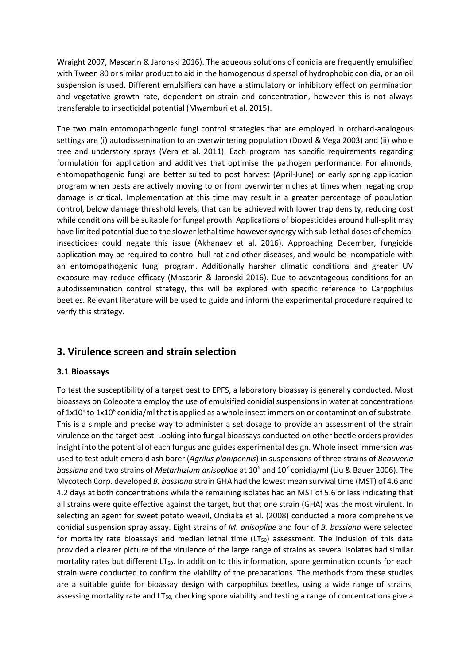Wraight 2007, Mascarin & Jaronski 2016). The aqueous solutions of conidia are frequently emulsified with Tween 80 or similar product to aid in the homogenous dispersal of hydrophobic conidia, or an oil suspension is used. Different emulsifiers can have a stimulatory or inhibitory effect on germination and vegetative growth rate, dependent on strain and concentration, however this is not always transferable to insecticidal potential (Mwamburi et al. 2015).

The two main entomopathogenic fungi control strategies that are employed in orchard-analogous settings are (i) autodissemination to an overwintering population (Dowd & Vega 2003) and (ii) whole tree and understory sprays (Vera et al. 2011). Each program has specific requirements regarding formulation for application and additives that optimise the pathogen performance. For almonds, entomopathogenic fungi are better suited to post harvest (April-June) or early spring application program when pests are actively moving to or from overwinter niches at times when negating crop damage is critical. Implementation at this time may result in a greater percentage of population control, below damage threshold levels, that can be achieved with lower trap density, reducing cost while conditions will be suitable for fungal growth. Applications of biopesticides around hull-split may have limited potential due to the slower lethal time however synergy with sub-lethal doses of chemical insecticides could negate this issue (Akhanaev et al. 2016). Approaching December, fungicide application may be required to control hull rot and other diseases, and would be incompatible with an entomopathogenic fungi program. Additionally harsher climatic conditions and greater UV exposure may reduce efficacy (Mascarin & Jaronski 2016). Due to advantageous conditions for an autodissemination control strategy, this will be explored with specific reference to Carpophilus beetles. Relevant literature will be used to guide and inform the experimental procedure required to verify this strategy.

## **3. Virulence screen and strain selection**

### **3.1 Bioassays**

To test the susceptibility of a target pest to EPFS, a laboratory bioassay is generally conducted. Most bioassays on Coleoptera employ the use of emulsified conidial suspensions in water at concentrations of  $1x10^6$  to  $1x10^8$  conidia/ml that is applied as a whole insect immersion or contamination of substrate. This is a simple and precise way to administer a set dosage to provide an assessment of the strain virulence on the target pest. Looking into fungal bioassays conducted on other beetle orders provides insight into the potential of each fungus and guides experimental design. Whole insect immersion was used to test adult emerald ash borer (*Agrilus planipennis*) in suspensions of three strains of *Beauveria bassiana* and two strains of *Metarhizium anisopliae* at 10<sup>6</sup> and 10<sup>7</sup> conidia/ml (Liu & Bauer 2006). The Mycotech Corp. developed *B. bassiana* strain GHA had the lowest mean survival time (MST) of 4.6 and 4.2 days at both concentrations while the remaining isolates had an MST of 5.6 or less indicating that all strains were quite effective against the target, but that one strain (GHA) was the most virulent. In selecting an agent for sweet potato weevil, Ondiaka et al. (2008) conducted a more comprehensive conidial suspension spray assay. Eight strains of *M. anisopliae* and four of *B. bassiana* were selected for mortality rate bioassays and median lethal time ( $LT_{50}$ ) assessment. The inclusion of this data provided a clearer picture of the virulence of the large range of strains as several isolates had similar mortality rates but different  $LT_{50}$ . In addition to this information, spore germination counts for each strain were conducted to confirm the viability of the preparations. The methods from these studies are a suitable guide for bioassay design with carpophilus beetles, using a wide range of strains, assessing mortality rate and  $LT_{50}$ , checking spore viability and testing a range of concentrations give a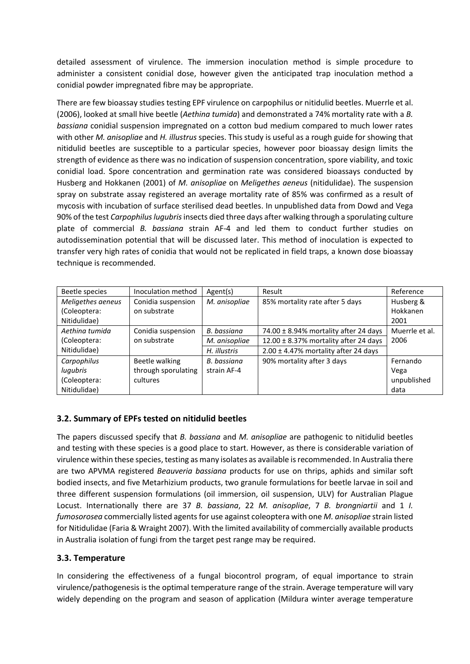detailed assessment of virulence. The immersion inoculation method is simple procedure to administer a consistent conidial dose, however given the anticipated trap inoculation method a conidial powder impregnated fibre may be appropriate.

There are few bioassay studies testing EPF virulence on carpophilus or nitidulid beetles. Muerrle et al. (2006), looked at small hive beetle (*Aethina tumida*) and demonstrated a 74% mortality rate with a *B. bassiana* conidial suspension impregnated on a cotton bud medium compared to much lower rates with other *M. anisopliae* and *H. illustrus* species. This study is useful as a rough guide for showing that nitidulid beetles are susceptible to a particular species, however poor bioassay design limits the strength of evidence as there was no indication of suspension concentration, spore viability, and toxic conidial load. Spore concentration and germination rate was considered bioassays conducted by Husberg and Hokkanen (2001) of *M. anisopliae* on *Meligethes aeneus* (nitidulidae). The suspension spray on substrate assay registered an average mortality rate of 85% was confirmed as a result of mycosis with incubation of surface sterilised dead beetles. In unpublished data from Dowd and Vega 90% of the test *Carpophilus lugubris*insects died three days after walking through a sporulating culture plate of commercial *B. bassiana* strain AF-4 and led them to conduct further studies on autodissemination potential that will be discussed later. This method of inoculation is expected to transfer very high rates of conidia that would not be replicated in field traps, a known dose bioassay technique is recommended.

| Beetle species    | Inoculation method  | Agent(s)      | Result                                    | Reference      |
|-------------------|---------------------|---------------|-------------------------------------------|----------------|
| Meligethes aeneus | Conidia suspension  | M. anisopliae | 85% mortality rate after 5 days           | Husberg &      |
| (Coleoptera:      | on substrate        |               |                                           | Hokkanen       |
| Nitidulidae)      |                     |               |                                           | 2001           |
| Aethina tumida    | Conidia suspension  | B. bassiana   | 74.00 ± 8.94% mortality after 24 days     | Muerrle et al. |
| (Coleoptera:      | on substrate        | M. anisopliae | 12.00 $\pm$ 8.37% mortality after 24 days | 2006           |
| Nitidulidae)      |                     | H. illustris  | $2.00 \pm 4.47\%$ mortality after 24 days |                |
| Carpophilus       | Beetle walking      | B. bassiana   | 90% mortality after 3 days                | Fernando       |
| lugubris          | through sporulating | strain AF-4   |                                           | Vega           |
| (Coleoptera:      | cultures            |               |                                           | unpublished    |
| Nitidulidae)      |                     |               |                                           | data           |

### **3.2. Summary of EPFs tested on nitidulid beetles**

The papers discussed specify that *B. bassiana* and *M. anisopliae* are pathogenic to nitidulid beetles and testing with these species is a good place to start. However, as there is considerable variation of virulence within these species, testing as many isolates as available is recommended. In Australia there are two APVMA registered *Beauveria bassiana* products for use on thrips, aphids and similar soft bodied insects, and five Metarhizium products, two granule formulations for beetle larvae in soil and three different suspension formulations (oil immersion, oil suspension, ULV) for Australian Plague Locust. Internationally there are 37 *B. bassiana*, 22 *M. anisopliae*, 7 *B. brongniartii* and 1 *I. fumosorosea* commercially listed agents for use against coleoptera with one *M. anisopliae* strain listed for Nitidulidae (Faria & Wraight 2007). With the limited availability of commercially available products in Australia isolation of fungi from the target pest range may be required.

### **3.3. Temperature**

In considering the effectiveness of a fungal biocontrol program, of equal importance to strain virulence/pathogenesis is the optimal temperature range of the strain. Average temperature will vary widely depending on the program and season of application (Mildura winter average temperature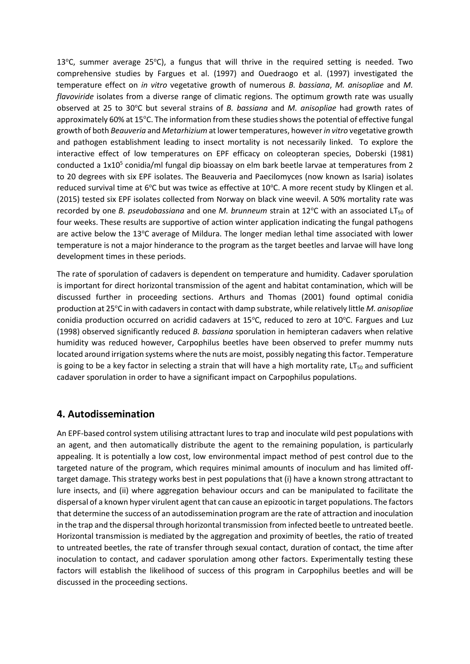13<sup>o</sup>C, summer average 25<sup>o</sup>C), a fungus that will thrive in the required setting is needed. Two comprehensive studies by Fargues et al. (1997) and Ouedraogo et al. (1997) investigated the temperature effect on *in vitro* vegetative growth of numerous *B. bassiana*, *M. anisopliae* and *M. flavoviride* isolates from a diverse range of climatic regions. The optimum growth rate was usually observed at 25 to 30°C but several strains of *B. bassiana* and *M. anisopliae* had growth rates of approximately 60% at 15°C. The information from these studies shows the potential of effective fungal growth of both *Beauveria* and *Metarhizium* at lower temperatures, however *in vitro* vegetative growth and pathogen establishment leading to insect mortality is not necessarily linked. To explore the interactive effect of low temperatures on EPF efficacy on coleopteran species, Doberski (1981) conducted a 1x10<sup>5</sup> conidia/ml fungal dip bioassay on elm bark beetle larvae at temperatures from 2 to 20 degrees with six EPF isolates. The Beauveria and Paecilomyces (now known as Isaria) isolates reduced survival time at 6°C but was twice as effective at 10°C. A more recent study by Klingen et al. (2015) tested six EPF isolates collected from Norway on black vine weevil. A 50% mortality rate was recorded by one *B. pseudobassiana* and one *M. brunneum* strain at 12°C with an associated LT<sub>50</sub> of four weeks. These results are supportive of action winter application indicating the fungal pathogens are active below the 13°C average of Mildura. The longer median lethal time associated with lower temperature is not a major hinderance to the program as the target beetles and larvae will have long development times in these periods.

The rate of sporulation of cadavers is dependent on temperature and humidity. Cadaver sporulation is important for direct horizontal transmission of the agent and habitat contamination, which will be discussed further in proceeding sections. Arthurs and Thomas (2001) found optimal conidia production at 25°C in with cadavers in contact with damp substrate, while relatively little *M. anisopliae* conidia production occurred on acridid cadavers at  $15^{\circ}$ C, reduced to zero at  $10^{\circ}$ C. Fargues and Luz (1998) observed significantly reduced *B. bassiana* sporulation in hemipteran cadavers when relative humidity was reduced however, Carpophilus beetles have been observed to prefer mummy nuts located around irrigation systems where the nuts are moist, possibly negating this factor. Temperature is going to be a key factor in selecting a strain that will have a high mortality rate,  $LT_{50}$  and sufficient cadaver sporulation in order to have a significant impact on Carpophilus populations.

## **4. Autodissemination**

An EPF-based control system utilising attractant lures to trap and inoculate wild pest populations with an agent, and then automatically distribute the agent to the remaining population, is particularly appealing. It is potentially a low cost, low environmental impact method of pest control due to the targeted nature of the program, which requires minimal amounts of inoculum and has limited offtarget damage. This strategy works best in pest populations that (i) have a known strong attractant to lure insects, and (ii) where aggregation behaviour occurs and can be manipulated to facilitate the dispersal of a known hyper virulent agent that can cause an epizootic in target populations. The factors that determine the success of an autodissemination program are the rate of attraction and inoculation in the trap and the dispersal through horizontal transmission from infected beetle to untreated beetle. Horizontal transmission is mediated by the aggregation and proximity of beetles, the ratio of treated to untreated beetles, the rate of transfer through sexual contact, duration of contact, the time after inoculation to contact, and cadaver sporulation among other factors. Experimentally testing these factors will establish the likelihood of success of this program in Carpophilus beetles and will be discussed in the proceeding sections.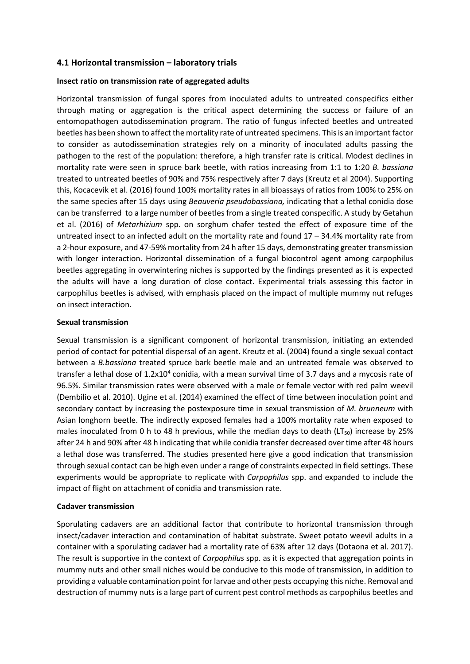### **4.1 Horizontal transmission – laboratory trials**

### **Insect ratio on transmission rate of aggregated adults**

Horizontal transmission of fungal spores from inoculated adults to untreated conspecifics either through mating or aggregation is the critical aspect determining the success or failure of an entomopathogen autodissemination program. The ratio of fungus infected beetles and untreated beetles has been shown to affect the mortality rate of untreated specimens. This is an important factor to consider as autodissemination strategies rely on a minority of inoculated adults passing the pathogen to the rest of the population: therefore, a high transfer rate is critical. Modest declines in mortality rate were seen in spruce bark beetle, with ratios increasing from 1:1 to 1:20 *B. bassiana* treated to untreated beetles of 90% and 75% respectively after 7 days (Kreutz et al 2004). Supporting this, Kocacevik et al. (2016) found 100% mortality rates in all bioassays of ratios from 100% to 25% on the same species after 15 days using *Beauveria pseudobassiana,* indicating that a lethal conidia dose can be transferred to a large number of beetles from a single treated conspecific. A study by Getahun et al. (2016) of *Metarhizium* spp. on sorghum chafer tested the effect of exposure time of the untreated insect to an infected adult on the mortality rate and found 17 – 34.4% mortality rate from a 2-hour exposure, and 47-59% mortality from 24 h after 15 days, demonstrating greater transmission with longer interaction. Horizontal dissemination of a fungal biocontrol agent among carpophilus beetles aggregating in overwintering niches is supported by the findings presented as it is expected the adults will have a long duration of close contact. Experimental trials assessing this factor in carpophilus beetles is advised, with emphasis placed on the impact of multiple mummy nut refuges on insect interaction.

#### **Sexual transmission**

Sexual transmission is a significant component of horizontal transmission, initiating an extended period of contact for potential dispersal of an agent. Kreutz et al. (2004) found a single sexual contact between a *B.bassiana* treated spruce bark beetle male and an untreated female was observed to transfer a lethal dose of  $1.2x10^4$  conidia, with a mean survival time of 3.7 days and a mycosis rate of 96.5%. Similar transmission rates were observed with a male or female vector with red palm weevil (Dembilio et al. 2010). Ugine et al. (2014) examined the effect of time between inoculation point and secondary contact by increasing the postexposure time in sexual transmission of *M. brunneum* with Asian longhorn beetle. The indirectly exposed females had a 100% mortality rate when exposed to males inoculated from 0 h to 48 h previous, while the median days to death ( $LT_{50}$ ) increase by 25% after 24 h and 90% after 48 h indicating that while conidia transfer decreased over time after 48 hours a lethal dose was transferred. The studies presented here give a good indication that transmission through sexual contact can be high even under a range of constraints expected in field settings. These experiments would be appropriate to replicate with *Carpophilus* spp. and expanded to include the impact of flight on attachment of conidia and transmission rate.

### **Cadaver transmission**

Sporulating cadavers are an additional factor that contribute to horizontal transmission through insect/cadaver interaction and contamination of habitat substrate. Sweet potato weevil adults in a container with a sporulating cadaver had a mortality rate of 63% after 12 days (Dotaona et al. 2017). The result is supportive in the context of *Carpophilus* spp. as it is expected that aggregation points in mummy nuts and other small niches would be conducive to this mode of transmission, in addition to providing a valuable contamination point for larvae and other pests occupying this niche. Removal and destruction of mummy nuts is a large part of current pest control methods as carpophilus beetles and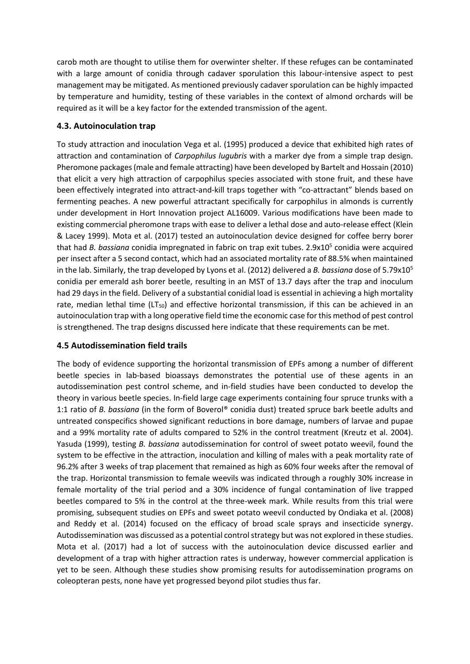carob moth are thought to utilise them for overwinter shelter. If these refuges can be contaminated with a large amount of conidia through cadaver sporulation this labour-intensive aspect to pest management may be mitigated. As mentioned previously cadaver sporulation can be highly impacted by temperature and humidity, testing of these variables in the context of almond orchards will be required as it will be a key factor for the extended transmission of the agent.

### **4.3. Autoinoculation trap**

To study attraction and inoculation Vega et al. (1995) produced a device that exhibited high rates of attraction and contamination of *Carpophilus lugubris* with a marker dye from a simple trap design. Pheromone packages (male and female attracting) have been developed by Bartelt and Hossain (2010) that elicit a very high attraction of carpophilus species associated with stone fruit, and these have been effectively integrated into attract-and-kill traps together with "co-attractant" blends based on fermenting peaches. A new powerful attractant specifically for carpophilus in almonds is currently under development in Hort Innovation project AL16009. Various modifications have been made to existing commercial pheromone traps with ease to deliver a lethal dose and auto-release effect (Klein & Lacey 1999). Mota et al. (2017) tested an autoinoculation device designed for coffee berry borer that had *B. bassiana* conidia impregnated in fabric on trap exit tubes. 2.9x10<sup>5</sup> conidia were acquired per insect after a 5 second contact, which had an associated mortality rate of 88.5% when maintained in the lab. Similarly, the trap developed by Lyons et al. (2012) delivered a *B. bassiana* dose of 5.79x10<sup>5</sup> conidia per emerald ash borer beetle, resulting in an MST of 13.7 days after the trap and inoculum had 29 days in the field. Delivery of a substantial conidial load is essential in achieving a high mortality rate, median lethal time (LT<sub>50</sub>) and effective horizontal transmission, if this can be achieved in an autoinoculation trap with a long operative field time the economic case for this method of pest control is strengthened. The trap designs discussed here indicate that these requirements can be met.

### **4.5 Autodissemination field trails**

The body of evidence supporting the horizontal transmission of EPFs among a number of different beetle species in lab-based bioassays demonstrates the potential use of these agents in an autodissemination pest control scheme, and in-field studies have been conducted to develop the theory in various beetle species. In-field large cage experiments containing four spruce trunks with a 1:1 ratio of *B. bassiana* (in the form of Boverol® conidia dust) treated spruce bark beetle adults and untreated conspecifics showed significant reductions in bore damage, numbers of larvae and pupae and a 99% mortality rate of adults compared to 52% in the control treatment (Kreutz et al. 2004). Yasuda (1999), testing *B. bassiana* autodissemination for control of sweet potato weevil, found the system to be effective in the attraction, inoculation and killing of males with a peak mortality rate of 96.2% after 3 weeks of trap placement that remained as high as 60% four weeks after the removal of the trap. Horizontal transmission to female weevils was indicated through a roughly 30% increase in female mortality of the trial period and a 30% incidence of fungal contamination of live trapped beetles compared to 5% in the control at the three-week mark. While results from this trial were promising, subsequent studies on EPFs and sweet potato weevil conducted by Ondiaka et al. (2008) and Reddy et al. (2014) focused on the efficacy of broad scale sprays and insecticide synergy. Autodissemination was discussed as a potential control strategy but was not explored in these studies. Mota et al. (2017) had a lot of success with the autoinoculation device discussed earlier and development of a trap with higher attraction rates is underway, however commercial application is yet to be seen. Although these studies show promising results for autodissemination programs on coleopteran pests, none have yet progressed beyond pilot studies thus far.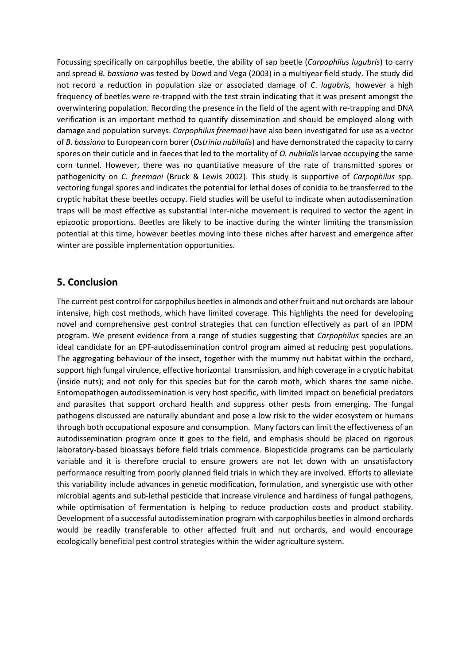Focussing specifically on carpophilus beetle, the ability of sap beetle (*Carpophilus lugubris*) to carry and spread *B. bassiana* was tested by Dowd and Vega (2003) in a multiyear field study. The study did not record a reduction in population size or associated damage of *C*. *lugubris,* however a high frequency of beetles were re-trapped with the test strain indicating that it was present amongst the overwintering population. Recording the presence in the field of the agent with re-trapping and DNA verification is an important method to quantify dissemination and should be employed along with damage and population surveys. *Carpophilus freemani* have also been investigated for use as a vector of *B. bassiana* to European corn borer (*Ostrinia nubilalis*) and have demonstrated the capacity to carry spores on their cuticle and in faeces that led to the mortality of *O. nubilalis* larvae occupying the same corn tunnel. However, there was no quantitative measure of the rate of transmitted spores or pathogenicity on *C. freemani* (Bruck & Lewis 2002). This study is supportive of *Carpophilus* spp. vectoring fungal spores and indicates the potential for lethal doses of conidia to be transferred to the cryptic habitat these beetles occupy. Field studies will be useful to indicate when autodissemination traps will be most effective as substantial inter-niche movement is required to vector the agent in epizootic proportions. Beetles are likely to be inactive during the winter limiting the transmission potential at this time, however beetles moving into these niches after harvest and emergence after winter are possible implementation opportunities.

## **5. Conclusion**

The current pest control for carpophilus beetles in almonds and other fruit and nut orchards are labour intensive, high cost methods, which have limited coverage. This highlights the need for developing novel and comprehensive pest control strategies that can function effectively as part of an IPDM program. We present evidence from a range of studies suggesting that *Carpophilus* species are an ideal candidate for an EPF-autodissemination control program aimed at reducing pest populations. The aggregating behaviour of the insect, together with the mummy nut habitat within the orchard, support high fungal virulence, effective horizontal transmission, and high coverage in a cryptic habitat (inside nuts); and not only for this species but for the carob moth, which shares the same niche. Entomopathogen autodissemination is very host specific, with limited impact on beneficial predators and parasites that support orchard health and suppress other pests from emerging. The fungal pathogens discussed are naturally abundant and pose a low risk to the wider ecosystem or humans through both occupational exposure and consumption. Many factors can limit the effectiveness of an autodissemination program once it goes to the field, and emphasis should be placed on rigorous laboratory-based bioassays before field trials commence. Biopesticide programs can be particularly variable and it is therefore crucial to ensure growers are not let down with an unsatisfactory performance resulting from poorly planned field trials in which they are involved. Efforts to alleviate this variability include advances in genetic modification, formulation, and synergistic use with other microbial agents and sub-lethal pesticide that increase virulence and hardiness of fungal pathogens, while optimisation of fermentation is helping to reduce production costs and product stability. Development of a successful autodissemination program with carpophilus beetles in almond orchards would be readily transferable to other affected fruit and nut orchards, and would encourage ecologically beneficial pest control strategies within the wider agriculture system.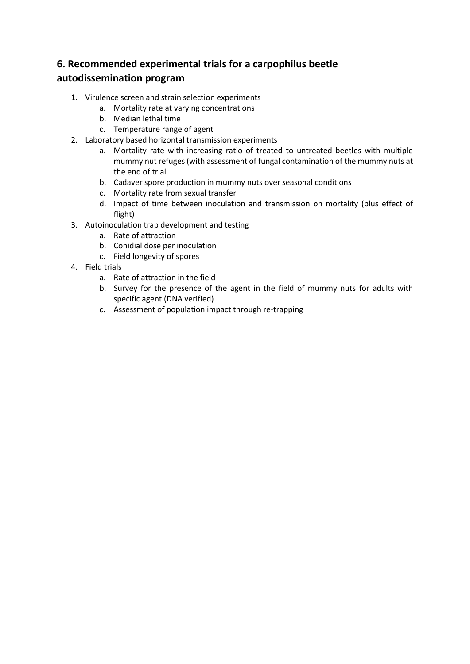## **6. Recommended experimental trials for a carpophilus beetle autodissemination program**

- 1. Virulence screen and strain selection experiments
	- a. Mortality rate at varying concentrations
	- b. Median lethal time
	- c. Temperature range of agent
- 2. Laboratory based horizontal transmission experiments
	- a. Mortality rate with increasing ratio of treated to untreated beetles with multiple mummy nut refuges (with assessment of fungal contamination of the mummy nuts at the end of trial
	- b. Cadaver spore production in mummy nuts over seasonal conditions
	- c. Mortality rate from sexual transfer
	- d. Impact of time between inoculation and transmission on mortality (plus effect of flight)
- 3. Autoinoculation trap development and testing
	- a. Rate of attraction
	- b. Conidial dose per inoculation
	- c. Field longevity of spores
- 4. Field trials
	- a. Rate of attraction in the field
	- b. Survey for the presence of the agent in the field of mummy nuts for adults with specific agent (DNA verified)
	- c. Assessment of population impact through re-trapping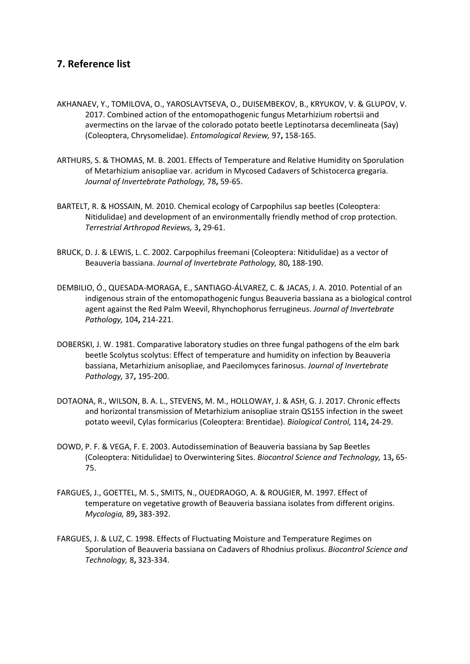## **7. Reference list**

- AKHANAEV, Y., TOMILOVA, O., YAROSLAVTSEVA, O., DUISEMBEKOV, B., KRYUKOV, V. & GLUPOV, V. 2017. Combined action of the entomopathogenic fungus Metarhizium robertsii and avermectins on the larvae of the colorado potato beetle Leptinotarsa decemlineata (Say) (Coleoptera, Chrysomelidae). *Entomological Review,* 97**,** 158-165.
- ARTHURS, S. & THOMAS, M. B. 2001. Effects of Temperature and Relative Humidity on Sporulation of Metarhizium anisopliae var. acridum in Mycosed Cadavers of Schistocerca gregaria. *Journal of Invertebrate Pathology,* 78**,** 59-65.
- BARTELT, R. & HOSSAIN, M. 2010. Chemical ecology of Carpophilus sap beetles (Coleoptera: Nitidulidae) and development of an environmentally friendly method of crop protection. *Terrestrial Arthropod Reviews,* 3**,** 29-61.
- BRUCK, D. J. & LEWIS, L. C. 2002. Carpophilus freemani (Coleoptera: Nitidulidae) as a vector of Beauveria bassiana. *Journal of Invertebrate Pathology,* 80**,** 188-190.
- DEMBILIO, Ó., QUESADA-MORAGA, E., SANTIAGO-ÁLVAREZ, C. & JACAS, J. A. 2010. Potential of an indigenous strain of the entomopathogenic fungus Beauveria bassiana as a biological control agent against the Red Palm Weevil, Rhynchophorus ferrugineus. *Journal of Invertebrate Pathology,* 104**,** 214-221.
- DOBERSKI, J. W. 1981. Comparative laboratory studies on three fungal pathogens of the elm bark beetle Scolytus scolytus: Effect of temperature and humidity on infection by Beauveria bassiana, Metarhizium anisopliae, and Paecilomyces farinosus. *Journal of Invertebrate Pathology,* 37**,** 195-200.
- DOTAONA, R., WILSON, B. A. L., STEVENS, M. M., HOLLOWAY, J. & ASH, G. J. 2017. Chronic effects and horizontal transmission of Metarhizium anisopliae strain QS155 infection in the sweet potato weevil, Cylas formicarius (Coleoptera: Brentidae). *Biological Control,* 114**,** 24-29.
- DOWD, P. F. & VEGA, F. E. 2003. Autodissemination of Beauveria bassiana by Sap Beetles (Coleoptera: Nitidulidae) to Overwintering Sites. *Biocontrol Science and Technology,* 13**,** 65- 75.
- FARGUES, J., GOETTEL, M. S., SMITS, N., OUEDRAOGO, A. & ROUGIER, M. 1997. Effect of temperature on vegetative growth of Beauveria bassiana isolates from different origins. *Mycologia,* 89**,** 383-392.
- FARGUES, J. & LUZ, C. 1998. Effects of Fluctuating Moisture and Temperature Regimes on Sporulation of Beauveria bassiana on Cadavers of Rhodnius prolixus. *Biocontrol Science and Technology,* 8**,** 323-334.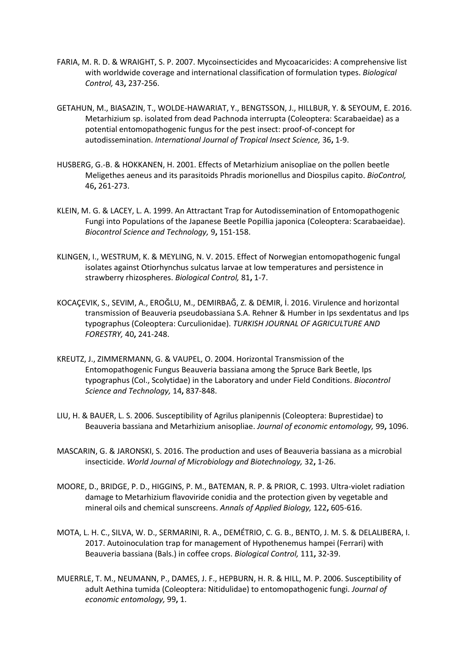- FARIA, M. R. D. & WRAIGHT, S. P. 2007. Mycoinsecticides and Mycoacaricides: A comprehensive list with worldwide coverage and international classification of formulation types. *Biological Control,* 43**,** 237-256.
- GETAHUN, M., BIASAZIN, T., WOLDE-HAWARIAT, Y., BENGTSSON, J., HILLBUR, Y. & SEYOUM, E. 2016. Metarhizium sp. isolated from dead Pachnoda interrupta (Coleoptera: Scarabaeidae) as a potential entomopathogenic fungus for the pest insect: proof-of-concept for autodissemination. *International Journal of Tropical Insect Science,* 36**,** 1-9.
- HUSBERG, G.-B. & HOKKANEN, H. 2001. Effects of Metarhizium anisopliae on the pollen beetle Meligethes aeneus and its parasitoids Phradis morionellus and Diospilus capito. *BioControl,* 46**,** 261-273.
- KLEIN, M. G. & LACEY, L. A. 1999. An Attractant Trap for Autodissemination of Entomopathogenic Fungi into Populations of the Japanese Beetle Popillia japonica (Coleoptera: Scarabaeidae). *Biocontrol Science and Technology,* 9**,** 151-158.
- KLINGEN, I., WESTRUM, K. & MEYLING, N. V. 2015. Effect of Norwegian entomopathogenic fungal isolates against Otiorhynchus sulcatus larvae at low temperatures and persistence in strawberry rhizospheres. *Biological Control,* 81**,** 1-7.
- KOCAÇEVIK, S., SEVIM, A., EROĞLU, M., DEMIRBAĞ, Z. & DEMIR, İ. 2016. Virulence and horizontal transmission of Beauveria pseudobassiana S.A. Rehner & Humber in Ips sexdentatus and Ips typographus (Coleoptera: Curculionidae). *TURKISH JOURNAL OF AGRICULTURE AND FORESTRY,* 40**,** 241-248.
- KREUTZ, J., ZIMMERMANN, G. & VAUPEL, O. 2004. Horizontal Transmission of the Entomopathogenic Fungus Beauveria bassiana among the Spruce Bark Beetle, Ips typographus (Col., Scolytidae) in the Laboratory and under Field Conditions. *Biocontrol Science and Technology,* 14**,** 837-848.
- LIU, H. & BAUER, L. S. 2006. Susceptibility of Agrilus planipennis (Coleoptera: Buprestidae) to Beauveria bassiana and Metarhizium anisopliae. *Journal of economic entomology,* 99**,** 1096.
- MASCARIN, G. & JARONSKI, S. 2016. The production and uses of Beauveria bassiana as a microbial insecticide. *World Journal of Microbiology and Biotechnology,* 32**,** 1-26.
- MOORE, D., BRIDGE, P. D., HIGGINS, P. M., BATEMAN, R. P. & PRIOR, C. 1993. Ultra-violet radiation damage to Metarhizium flavoviride conidia and the protection given by vegetable and mineral oils and chemical sunscreens. *Annals of Applied Biology,* 122**,** 605-616.
- MOTA, L. H. C., SILVA, W. D., SERMARINI, R. A., DEMÉTRIO, C. G. B., BENTO, J. M. S. & DELALIBERA, I. 2017. Autoinoculation trap for management of Hypothenemus hampei (Ferrari) with Beauveria bassiana (Bals.) in coffee crops. *Biological Control,* 111**,** 32-39.
- MUERRLE, T. M., NEUMANN, P., DAMES, J. F., HEPBURN, H. R. & HILL, M. P. 2006. Susceptibility of adult Aethina tumida (Coleoptera: Nitidulidae) to entomopathogenic fungi. *Journal of economic entomology,* 99**,** 1.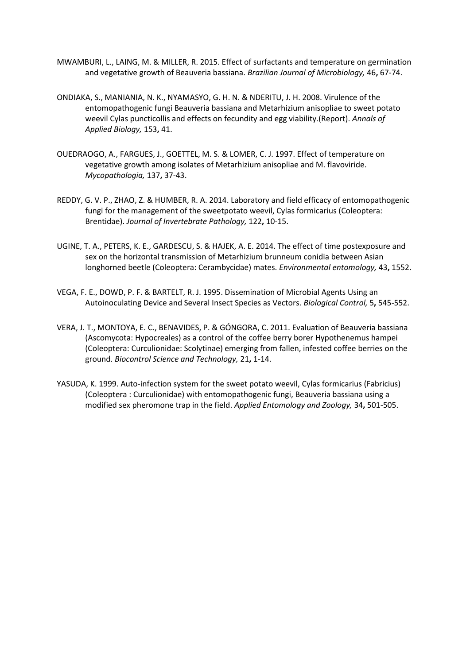- MWAMBURI, L., LAING, M. & MILLER, R. 2015. Effect of surfactants and temperature on germination and vegetative growth of Beauveria bassiana. *Brazilian Journal of Microbiology,* 46**,** 67-74.
- ONDIAKA, S., MANIANIA, N. K., NYAMASYO, G. H. N. & NDERITU, J. H. 2008. Virulence of the entomopathogenic fungi Beauveria bassiana and Metarhizium anisopliae to sweet potato weevil Cylas puncticollis and effects on fecundity and egg viability.(Report). *Annals of Applied Biology,* 153**,** 41.
- OUEDRAOGO, A., FARGUES, J., GOETTEL, M. S. & LOMER, C. J. 1997. Effect of temperature on vegetative growth among isolates of Metarhizium anisopliae and M. flavoviride. *Mycopathologia,* 137**,** 37-43.
- REDDY, G. V. P., ZHAO, Z. & HUMBER, R. A. 2014. Laboratory and field efficacy of entomopathogenic fungi for the management of the sweetpotato weevil, Cylas formicarius (Coleoptera: Brentidae). *Journal of Invertebrate Pathology,* 122**,** 10-15.
- UGINE, T. A., PETERS, K. E., GARDESCU, S. & HAJEK, A. E. 2014. The effect of time postexposure and sex on the horizontal transmission of Metarhizium brunneum conidia between Asian longhorned beetle (Coleoptera: Cerambycidae) mates. *Environmental entomology,* 43**,** 1552.
- VEGA, F. E., DOWD, P. F. & BARTELT, R. J. 1995. Dissemination of Microbial Agents Using an Autoinoculating Device and Several Insect Species as Vectors. *Biological Control,* 5**,** 545-552.
- VERA, J. T., MONTOYA, E. C., BENAVIDES, P. & GÓNGORA, C. 2011. Evaluation of Beauveria bassiana (Ascomycota: Hypocreales) as a control of the coffee berry borer Hypothenemus hampei (Coleoptera: Curculionidae: Scolytinae) emerging from fallen, infested coffee berries on the ground. *Biocontrol Science and Technology,* 21**,** 1-14.
- YASUDA, K. 1999. Auto-infection system for the sweet potato weevil, Cylas formicarius (Fabricius) (Coleoptera : Curculionidae) with entomopathogenic fungi, Beauveria bassiana using a modified sex pheromone trap in the field. *Applied Entomology and Zoology,* 34**,** 501-505.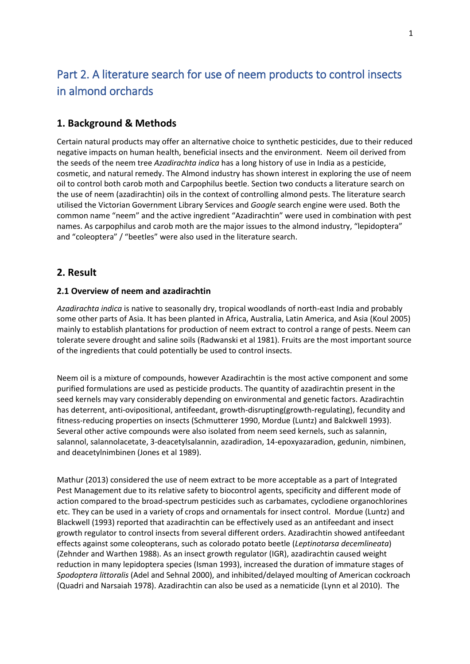# Part 2. A literature search for use of neem products to control insects in almond orchards

## **1. Background & Methods**

Certain natural products may offer an alternative choice to synthetic pesticides, due to their reduced negative impacts on human health, beneficial insects and the environment. Neem oil derived from the seeds of the neem tree *Azadirachta indica* has a long history of use in India as a pesticide, cosmetic, and natural remedy. The Almond industry has shown interest in exploring the use of neem oil to control both carob moth and Carpophilus beetle. Section two conducts a literature search on the use of neem (azadirachtin) oils in the context of controlling almond pests. The literature search utilised the Victorian Government Library Services and *Google* search engine were used. Both the common name "neem" and the active ingredient "Azadirachtin" were used in combination with pest names. As carpophilus and carob moth are the major issues to the almond industry, "lepidoptera" and "coleoptera" / "beetles" were also used in the literature search.

## **2. Result**

### **2.1 Overview of neem and azadirachtin**

*Azadirachta indica* is native to seasonally dry, tropical woodlands of north-east India and probably some other parts of Asia. It has been planted in Africa, Australia, Latin America, and Asia (Koul 2005) mainly to establish plantations for production of neem extract to control a range of pests. Neem can tolerate severe drought and saline soils (Radwanski et al 1981). Fruits are the most important source of the ingredients that could potentially be used to control insects.

Neem oil is a mixture of compounds, however Azadirachtin is the most active component and some purified formulations are used as pesticide products. The quantity of azadirachtin present in the seed kernels may vary considerably depending on environmental and genetic factors. Azadirachtin has deterrent, anti-ovipositional, antifeedant, growth-disrupting(growth-regulating), fecundity and fitness-reducing properties on insects (Schmutterer 1990, Mordue (Luntz) and Balckwell 1993). Several other active compounds were also isolated from neem seed kernels, such as salannin, salannol, salannolacetate, 3-deacetylsalannin, azadiradion, 14-epoxyazaradion, gedunin, nimbinen, and deacetylnimbinen (Jones et al 1989).

Mathur (2013) considered the use of neem extract to be more acceptable as a part of Integrated Pest Management due to its relative safety to biocontrol agents, specificity and different mode of action compared to the broad-spectrum pesticides such as carbamates, cyclodiene organochlorines etc. They can be used in a variety of crops and ornamentals for insect control. Mordue (Luntz) and Blackwell (1993) reported that azadirachtin can be effectively used as an antifeedant and insect growth regulator to control insects from several different orders. Azadirachtin showed antifeedant effects against some coleopterans, such as colorado potato beetle (*Leptinotarsa decemlineata*) (Zehnder and Warthen 1988). As an insect growth regulator (IGR), azadirachtin caused weight reduction in many lepidoptera species (Isman 1993), increased the duration of immature stages of *Spodoptera littoralis* (Adel and Sehnal 2000), and inhibited/delayed moulting of American cockroach (Quadri and Narsaiah 1978). Azadirachtin can also be used as a nematicide (Lynn et al 2010). The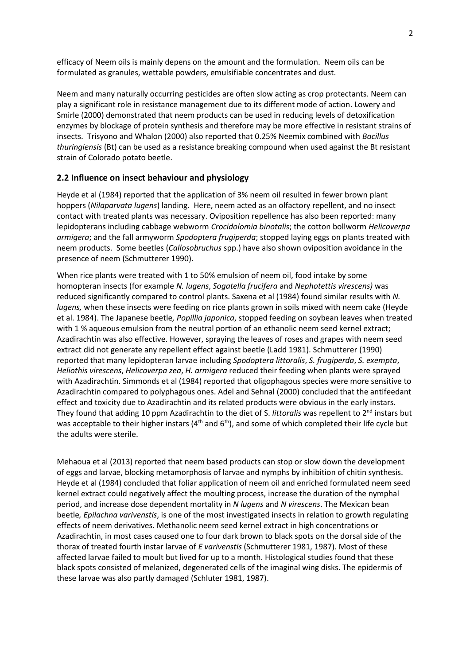efficacy of Neem oils is mainly depens on the amount and the formulation. Neem oils can be formulated as granules, wettable powders, emulsifiable concentrates and dust.

Neem and many naturally occurring pesticides are often slow acting as crop protectants. Neem can play a significant role in resistance management due to its different mode of action. Lowery and Smirle (2000) demonstrated that neem products can be used in reducing levels of detoxification enzymes by blockage of protein synthesis and therefore may be more effective in resistant strains of insects. Trisyono and Whalon (2000) also reported that 0.25% Neemix combined with *Bacillus thuringiensis* (Bt) can be used as a resistance breaking compound when used against the Bt resistant strain of Colorado potato beetle.

### **2.2 Influence on insect behaviour and physiology**

Heyde et al (1984) reported that the application of 3% neem oil resulted in fewer brown plant hoppers (*Nilaparvata lugens*) landing. Here, neem acted as an olfactory repellent, and no insect contact with treated plants was necessary. Oviposition repellence has also been reported: many lepidopterans including cabbage webworm *Crocidolomia binotalis*; the cotton bollworm *Helicoverpa armigera*; and the fall armyworm *Spodoptera frugiperda*; stopped laying eggs on plants treated with neem products. Some beetles (*Callosobruchus* spp.) have also shown oviposition avoidance in the presence of neem (Schmutterer 1990).

When rice plants were treated with 1 to 50% emulsion of neem oil, food intake by some homopteran insects (for example *N. lugens*, *Sogatella frucifera* and *Nephotettis virescens)* was reduced significantly compared to control plants. Saxena et al (1984) found similar results with *N. lugens,* when these insects were feeding on rice plants grown in soils mixed with neem cake (Heyde et al. 1984). The Japanese beetle*, Popillia japonica*, stopped feeding on soybean leaves when treated with 1 % aqueous emulsion from the neutral portion of an ethanolic neem seed kernel extract; Azadirachtin was also effective. However, spraying the leaves of roses and grapes with neem seed extract did not generate any repellent effect against beetle (Ladd 1981). Schmutterer (1990) reported that many lepidopteran larvae including *Spodoptera littoralis*, *S. frugiperda*, *S. exempta*, *Heliothis virescens*, *Helicoverpa zea*, *H. armigera* reduced their feeding when plants were sprayed with Azadirachtin. Simmonds et al (1984) reported that oligophagous species were more sensitive to Azadirachtin compared to polyphagous ones. Adel and Sehnal (2000) concluded that the antifeedant effect and toxicity due to Azadirachtin and its related products were obvious in the early instars. They found that adding 10 ppm Azadirachtin to the diet of S. *littoralis* was repellent to 2nd instars but was acceptable to their higher instars ( $4<sup>th</sup>$  and  $6<sup>th</sup>$ ), and some of which completed their life cycle but the adults were sterile.

Mehaoua et al (2013) reported that neem based products can stop or slow down the development of eggs and larvae, blocking metamorphosis of larvae and nymphs by inhibition of chitin synthesis. Heyde et al (1984) concluded that foliar application of neem oil and enriched formulated neem seed kernel extract could negatively affect the moulting process, increase the duration of the nymphal period, and increase dose dependent mortality in *N lugens* and *N virescens*. The Mexican bean beetle*, Epilachna varivenstis*, is one of the most investigated insects in relation to growth regulating effects of neem derivatives. Methanolic neem seed kernel extract in high concentrations or Azadirachtin, in most cases caused one to four dark brown to black spots on the dorsal side of the thorax of treated fourth instar larvae of *E varivenstis* (Schmutterer 1981, 1987). Most of these affected larvae failed to moult but lived for up to a month. Histological studies found that these black spots consisted of melanized, degenerated cells of the imaginal wing disks. The epidermis of these larvae was also partly damaged (Schluter 1981, 1987).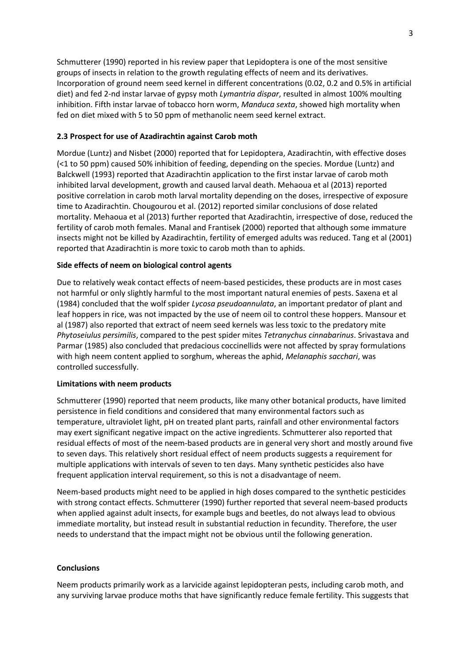Schmutterer (1990) reported in his review paper that Lepidoptera is one of the most sensitive groups of insects in relation to the growth regulating effects of neem and its derivatives. Incorporation of ground neem seed kernel in different concentrations (0.02, 0.2 and 0.5% in artificial diet) and fed 2-nd instar larvae of gypsy moth *Lymantria dispar*, resulted in almost 100% moulting inhibition. Fifth instar larvae of tobacco horn worm, *Manduca sexta*, showed high mortality when fed on diet mixed with 5 to 50 ppm of methanolic neem seed kernel extract.

### **2.3 Prospect for use of Azadirachtin against Carob moth**

Mordue (Luntz) and Nisbet (2000) reported that for Lepidoptera, Azadirachtin, with effective doses (<1 to 50 ppm) caused 50% inhibition of feeding, depending on the species. Mordue (Luntz) and Balckwell (1993) reported that Azadirachtin application to the first instar larvae of carob moth inhibited larval development, growth and caused larval death. Mehaoua et al (2013) reported positive correlation in carob moth larval mortality depending on the doses, irrespective of exposure time to Azadirachtin. Chougourou et al. (2012) reported similar conclusions of dose related mortality. Mehaoua et al (2013) further reported that Azadirachtin, irrespective of dose, reduced the fertility of carob moth females. Manal and Frantisek (2000) reported that although some immature insects might not be killed by Azadirachtin, fertility of emerged adults was reduced. Tang et al (2001) reported that Azadirachtin is more toxic to carob moth than to aphids.

### **Side effects of neem on biological control agents**

Due to relatively weak contact effects of neem-based pesticides, these products are in most cases not harmful or only slightly harmful to the most important natural enemies of pests. Saxena et al (1984) concluded that the wolf spider *Lycosa pseudoannulata*, an important predator of plant and leaf hoppers in rice, was not impacted by the use of neem oil to control these hoppers. Mansour et al (1987) also reported that extract of neem seed kernels was less toxic to the predatory mite *Phytoseiulus persimilis*, compared to the pest spider mites *Tetranychus cinnabarinus*. Srivastava and Parmar (1985) also concluded that predacious coccinellids were not affected by spray formulations with high neem content applied to sorghum, whereas the aphid, *Melanaphis sacchari*, was controlled successfully.

### **Limitations with neem products**

Schmutterer (1990) reported that neem products, like many other botanical products, have limited persistence in field conditions and considered that many environmental factors such as temperature, ultraviolet light, pH on treated plant parts, rainfall and other environmental factors may exert significant negative impact on the active ingredients. Schmutterer also reported that residual effects of most of the neem-based products are in general very short and mostly around five to seven days. This relatively short residual effect of neem products suggests a requirement for multiple applications with intervals of seven to ten days. Many synthetic pesticides also have frequent application interval requirement, so this is not a disadvantage of neem.

Neem-based products might need to be applied in high doses compared to the synthetic pesticides with strong contact effects. Schmutterer (1990) further reported that several neem-based products when applied against adult insects, for example bugs and beetles, do not always lead to obvious immediate mortality, but instead result in substantial reduction in fecundity. Therefore, the user needs to understand that the impact might not be obvious until the following generation.

### **Conclusions**

Neem products primarily work as a larvicide against lepidopteran pests, including carob moth, and any surviving larvae produce moths that have significantly reduce female fertility. This suggests that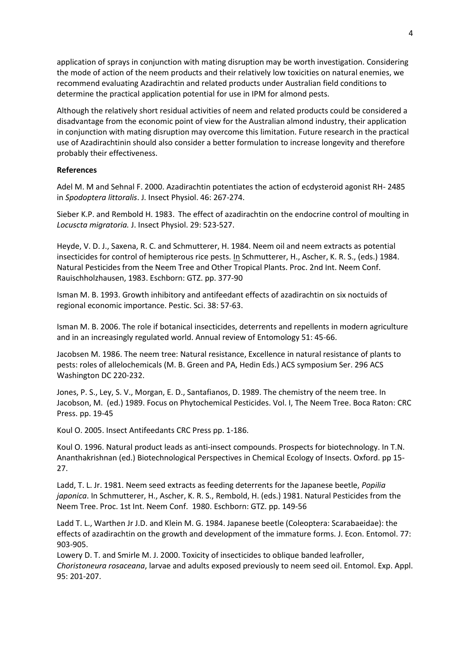application of sprays in conjunction with mating disruption may be worth investigation. Considering the mode of action of the neem products and their relatively low toxicities on natural enemies, we recommend evaluating Azadirachtin and related products under Australian field conditions to determine the practical application potential for use in IPM for almond pests.

Although the relatively short residual activities of neem and related products could be considered a disadvantage from the economic point of view for the Australian almond industry, their application in conjunction with mating disruption may overcome this limitation. Future research in the practical use of Azadirachtinin should also consider a better formulation to increase longevity and therefore probably their effectiveness.

#### **References**

Adel M. M and Sehnal F. 2000. Azadirachtin potentiates the action of ecdysteroid agonist RH- 2485 in *Spodoptera littoralis*. J. Insect Physiol. 46: 267-274.

Sieber K.P. and Rembold H. 1983. The effect of azadirachtin on the endocrine control of moulting in *Locuscta migratoria.* J. Insect Physiol. 29: 523-527.

Heyde, V. D. J., Saxena, R. C. and Schmutterer, H. 1984. Neem oil and neem extracts as potential insecticides for control of hemipterous rice pests. In Schmutterer, H., Ascher, K. R. S., (eds.) 1984. Natural Pesticides from the Neem Tree and Other Tropical Plants. Proc. 2nd Int. Neem Conf. Rauischholzhausen, 1983. Eschborn: GTZ. pp. 377-90

Isman M. B. 1993. Growth inhibitory and antifeedant effects of azadirachtin on six noctuids of regional economic importance. Pestic. Sci. 38: 57-63.

Isman M. B. 2006. The role if botanical insecticides, deterrents and repellents in modern agriculture and in an increasingly regulated world. Annual review of Entomology 51: 45-66.

Jacobsen M. 1986. The neem tree: Natural resistance, Excellence in natural resistance of plants to pests: roles of allelochemicals (M. B. Green and PA, Hedin Eds.) ACS symposium Ser. 296 ACS Washington DC 220-232.

Jones, P. S., Ley, S. V., Morgan, E. D., Santafianos, D. 1989. The chemistry of the neem tree. In Jacobson, M. (ed.) 1989. Focus on Phytochemical Pesticides. Vol. I, The Neem Tree. Boca Raton: CRC Press. pp. 19-45

Koul O. 2005. Insect Antifeedants CRC Press pp. 1-186.

Koul O. 1996. Natural product leads as anti-insect compounds. Prospects for biotechnology. In T.N. Ananthakrishnan (ed.) Biotechnological Perspectives in Chemical Ecology of Insects. Oxford. pp 15- 27.

Ladd, T. L. Jr. 1981. Neem seed extracts as feeding deterrents for the Japanese beetle, *Popilia japonica*. In Schmutterer, H., Ascher, K. R. S., Rembold, H. (eds.) 1981. Natural Pesticides from the Neem Tree. Proc. 1st Int. Neem Conf. 1980. Eschborn: GTZ. pp. 149-56

Ladd T. L., Warthen Jr J.D. and Klein M. G. 1984. Japanese beetle (Coleoptera: Scarabaeidae): the effects of azadirachtin on the growth and development of the immature forms. J. Econ. Entomol. 77: 903-905.

Lowery D. T. and Smirle M. J. 2000. Toxicity of insecticides to oblique banded leafroller, *Choristoneura rosaceana*, larvae and adults exposed previously to neem seed oil. Entomol. Exp. Appl. 95: 201-207.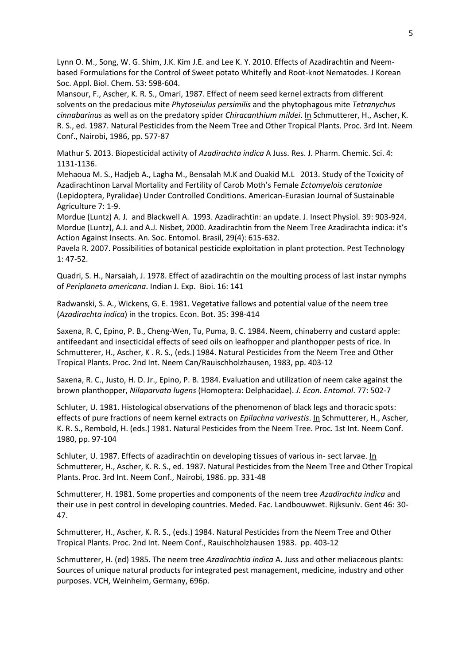Lynn O. M., Song, W. G. Shim, J.K. Kim J.E. and Lee K. Y. 2010. Effects of Azadirachtin and Neembased Formulations for the Control of Sweet potato Whitefly and Root-knot Nematodes. J Korean Soc. Appl. Biol. Chem. 53: 598-604.

Mansour, F., Ascher, K. R. S., Omari, 1987. Effect of neem seed kernel extracts from different solvents on the predacious mite *Phytoseiulus persimilis* and the phytophagous mite *Tetranychus cinnabarinus* as well as on the predatory spider *Chiracanthium mildei*. In Schmutterer, H., Ascher, K. R. S., ed. 1987. Natural Pesticides from the Neem Tree and Other Tropical Plants. Proc. 3rd Int. Neem Conf., Nairobi, 1986, pp. 577-87

Mathur S. 2013. Biopesticidal activity of *Azadirachta indica* A Juss. Res. J. Pharm. Chemic. Sci. 4: 1131-1136.

Mehaoua M. S., Hadjeb A., Lagha M., Bensalah M.K and Ouakid M.L 2013. Study of the Toxicity of Azadirachtinon Larval Mortality and Fertility of Carob Moth's Female *Ectomyelois ceratoniae* (Lepidoptera, Pyralidae) Under Controlled Conditions. American-Eurasian Journal of Sustainable Agriculture 7: 1-9.

Mordue (Luntz) A. J. and Blackwell A. 1993. Azadirachtin: an update. J. Insect Physiol. 39: 903-924. Mordue (Luntz), A.J. and A.J. Nisbet, 2000. Azadirachtin from the Neem Tree Azadirachta indica: it's Action Against Insects. An. Soc. Entomol. Brasil, 29(4): 615-632.

Pavela R. 2007. Possibilities of botanical pesticide exploitation in plant protection. Pest Technology 1: 47-52.

Quadri, S. H., Narsaiah, J. 1978. Effect of azadirachtin on the moulting process of last instar nymphs of *Periplaneta americana*. Indian J. Exp. Bioi. 16: 141

Radwanski, S. A., Wickens, G. E. 1981. Vegetative fallows and potential value of the neem tree (*Azadirachta indica*) in the tropics. Econ. Bot. 35: 398-414

Saxena, R. C, Epino, P. B., Cheng-Wen, Tu, Puma, B. C. 1984. Neem, chinaberry and custard apple: antifeedant and insecticidal effects of seed oils on leafhopper and planthopper pests of rice. In Schmutterer, H., Ascher, K . R. S., (eds.) 1984. Natural Pesticides from the Neem Tree and Other Tropical Plants. Proc. 2nd Int. Neem Can/Rauischholzhausen, 1983, pp. 403-12

Saxena, R. C., Justo, H. D. Jr., Epino, P. B. 1984. Evaluation and utilization of neem cake against the brown planthopper, *Nilaparvata lugens* (Homoptera: Delphacidae). *J. Econ. Entomol*. 77: 502-7

Schluter, U. 1981. Histological observations of the phenomenon of black legs and thoracic spots: effects of pure fractions of neem kernel extracts on *Epilachna varivestis*. In Schmutterer, H., Ascher, K. R. S., Rembold, H. (eds.) 1981. Natural Pesticides from the Neem Tree. Proc. 1st Int. Neem Conf. 1980, pp. 97-104

Schluter, U. 1987. Effects of azadirachtin on developing tissues of various in- sect larvae. In Schmutterer, H., Ascher, K. R. S., ed. 1987. Natural Pesticides from the Neem Tree and Other Tropical Plants. Proc. 3rd Int. Neem Conf., Nairobi, 1986. pp. 331-48

Schmutterer, H. 1981. Some properties and components of the neem tree *Azadirachta indica* and their use in pest control in developing countries. Meded. Fac. Landbouwwet. Rijksuniv. Gent 46: 30- 47.

Schmutterer, H., Ascher, K. R. S., (eds.) 1984. Natural Pesticides from the Neem Tree and Other Tropical Plants. Proc. 2nd Int. Neem Conf., Rauischholzhausen 1983. pp. 403-12

Schmutterer, H. (ed) 1985. The neem tree *Azadirachtia indica* A. Juss and other meliaceous plants: Sources of unique natural products for integrated pest management, medicine, industry and other purposes. VCH, Weinheim, Germany, 696p.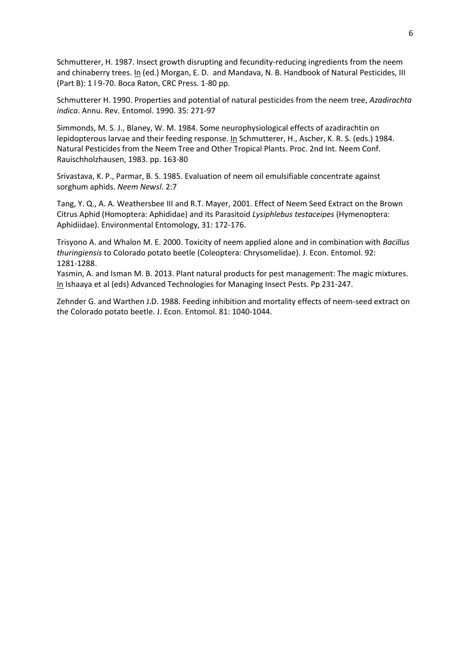Schmutterer, H. 1987. Insect growth disrupting and fecundity-reducing ingredients from the neem and chinaberry trees. In (ed.) Morgan, E. D. and Mandava, N. B. Handbook of Natural Pesticides, III (Part B): 1 l 9-70. Boca Raton, CRC Press. 1-80 pp.

Schmutterer H. 1990. Properties and potential of natural pesticides from the neem tree, *Azadirachta indica*. Annu. Rev. Entomol. 1990. 35: 271-97

Simmonds, M. S. J., Blaney, W. M. 1984. Some neurophysiological effects of azadirachtin on lepidopterous larvae and their feeding response. In Schmutterer, H., Ascher, K. R. S. (eds.) 1984. Natural Pesticides from the Neem Tree and Other Tropical Plants. Proc. 2nd Int. Neem Conf. Rauischholzhausen, 1983. pp. 163-80

Srivastava, K. P., Parmar, B. S. 1985. Evaluation of neem oil emulsifiable concentrate against sorghum aphids. *Neem Newsl*. 2:7

Tang, Y. Q., A. A. Weathersbee III and R.T. Mayer, 2001. Effect of Neem Seed Extract on the Brown Citrus Aphid (Homoptera: Aphididae) and its Parasitoid *Lysiphlebus testaceipes* (Hymenoptera: Aphidiidae). Environmental Entomology, 31: 172-176.

Trisyono A. and Whalon M. E. 2000. Toxicity of neem applied alone and in combination with *Bacillus thuringiensis* to Colorado potato beetle (Coleoptera: Chrysomelidae). J. Econ. Entomol. 92: 1281-1288.

Yasmin, A. and Isman M. B. 2013. Plant natural products for pest management: The magic mixtures. In Ishaaya et al (eds) Advanced Technologies for Managing Insect Pests. Pp 231-247.

Zehnder G. and Warthen J.D. 1988. Feeding inhibition and mortality effects of neem-seed extract on the Colorado potato beetle. J. Econ. Entomol. 81: 1040-1044.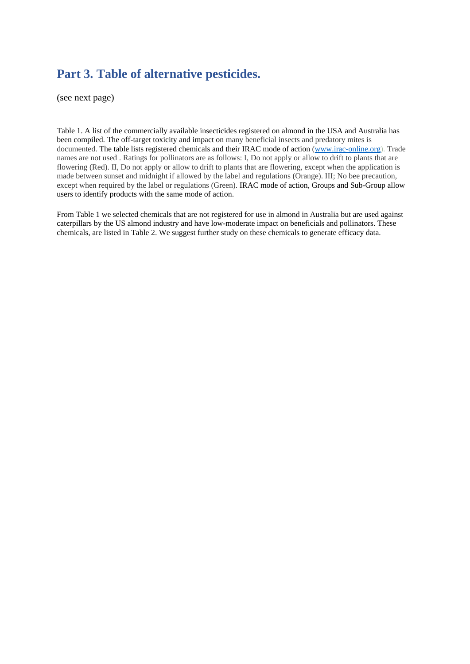## **Part 3. Table of alternative pesticides.**

(see next page)

Table 1. A list of the commercially available insecticides registered on almond in the USA and Australia has been compiled. The off-target toxicity and impact on many beneficial insects and predatory mites is documented. The table lists registered chemicals and their IRAC mode of action [\(www.irac-online.org\)](http://www.irac-online.org/). Trade names are not used . Ratings for pollinators are as follows: I, Do not apply or allow to drift to plants that are flowering (Red). II, Do not apply or allow to drift to plants that are flowering, except when the application is made between sunset and midnight if allowed by the label and regulations (Orange). III; No bee precaution, except when required by the label or regulations (Green). IRAC mode of action, Groups and Sub-Group allow users to identify products with the same mode of action.

From Table 1 we selected chemicals that are not registered for use in almond in Australia but are used against caterpillars by the US almond industry and have low-moderate impact on beneficials and pollinators. These chemicals, are listed in Table 2. We suggest further study on these chemicals to generate efficacy data.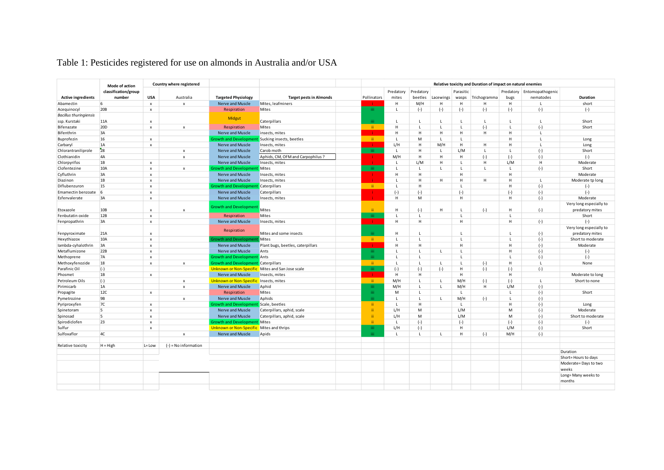# Table 1: Pesticides registered for use on almonds in Australia and/or USA

|                               | Mode of action<br>classification/group<br>number |                                             | Country where registered  |                                                  |                                   | Relative toxicity and Duration of impact on natural enemies |                    |                         |              |                                |              |                   |                               |                         |
|-------------------------------|--------------------------------------------------|---------------------------------------------|---------------------------|--------------------------------------------------|-----------------------------------|-------------------------------------------------------------|--------------------|-------------------------|--------------|--------------------------------|--------------|-------------------|-------------------------------|-------------------------|
| <b>Active ingredients</b>     |                                                  | <b>USA</b>                                  | Australia                 | <b>Targeted Physiology</b>                       | <b>Target pests in Almonds</b>    | Pollinators                                                 | Predatory<br>mites | Predatory<br>beetles    | Lacewings    | Parasitic<br>wasps             | Trichogramma | Predatory<br>bugs | Entomopathogenic<br>nematodes | Duration                |
| Abamectin                     | 6                                                | $\boldsymbol{\mathsf{x}}$                   | $\pmb{\mathsf{x}}$        | Nerve and Muscle                                 | Mites, leafminers                 |                                                             | H                  | M/H                     | H            | H                              | H            | H                 | L.                            | short                   |
| Acequinocyl                   | 20B                                              | $\pmb{\chi}$                                |                           | Respiration                                      | Mites                             | iii.                                                        | L                  | $(-)$                   | $(-)$        | $(-)$                          | $(-)$        | $(-)$             | $(-)$                         | $(-)$                   |
| <b>Bacillus thuringiensis</b> |                                                  |                                             |                           |                                                  |                                   |                                                             |                    |                         |              |                                |              |                   |                               |                         |
| ssp. Kurstaki                 | 11A                                              | $\boldsymbol{\mathsf{x}}$                   |                           | Midgut                                           | Caterpillars                      | iii.                                                        | $\mathbf{L}$       | $\mathbf{I}$            | L            | $\mathbf{L}$                   | $\mathbf{L}$ | L.                | L.                            | Short                   |
| Bifenazate                    | 20 <sub>D</sub>                                  | $\boldsymbol{\mathsf{x}}$                   | $\pmb{\mathsf{x}}$        | Respiration                                      | Mites                             | -ii -                                                       | H                  | $\mathsf{L}$            | $\mathbf{L}$ | $\mathsf L$                    | $(-)$        | $\mathbf{L}$      | $(-)$                         | Short                   |
| Bifenthrin                    | 3A                                               |                                             |                           | Nerve and Muscle                                 | insects, mites                    |                                                             | H                  | H                       | H            | H                              | н            | H                 | L                             |                         |
| Buprofezin                    | 16                                               | $\mathsf{x}$                                |                           | Growth and Developme                             | Sucking insects, beetles          | ii.                                                         | $\mathbf{L}$       | M                       | $\mathbf{L}$ | $\mathsf{L}$                   |              | H                 | $\mathbf{L}$                  | Long                    |
| Carbaryl                      | 1A                                               | $\boldsymbol{\mathsf{x}}$                   |                           | Nerve and Muscle                                 | Insects, mites                    | -i i                                                        | L/H                | H                       | M/H          | H                              | H            | H                 | L                             | Long                    |
| Chlorantraniliprole           | 28                                               |                                             | $\boldsymbol{\mathsf{x}}$ | Nerve and Muscle                                 | Carob moth                        | iii.                                                        | $\mathbf{L}$       | H                       | L            | L/M                            | $\mathbf{L}$ | $\mathbf{L}$      | $(-)$                         | Short                   |
| Clothianidin                  | 4A                                               |                                             | $\pmb{\mathsf{x}}$        | Nerve and Muscle                                 | Aphids, CM, OFM and Carpophilus?  | ÷.                                                          | M/H                | H                       | H            | H                              | $(-)$        | $(-)$             | $(-)$                         | $(-)$                   |
| Chlorpyrifos                  | 1B                                               | $\boldsymbol{\mathsf{x}}$                   |                           | Nerve and Muscle                                 | Insects, mites                    |                                                             | $\mathbf{L}$       | L/M                     | H            | L.                             | H            | L/M               | H                             | Moderate                |
| Clofentezine                  | 10A                                              | $\boldsymbol{\mathsf{x}}$                   | $\boldsymbol{\mathsf{x}}$ | Growth and Development                           | Mites                             | -iii.                                                       | L                  | $\mathbf{L}$            | L.           | $\mathbf{L}$                   | $\mathbf{L}$ | L.                | $(-)$                         | Short                   |
| Cyfluthrin                    | 3A                                               | $\boldsymbol{\mathsf{x}}$                   |                           | Nerve and Muscle                                 | Insects, mites                    | ÷i                                                          | H                  | H                       |              | H                              |              | H                 |                               | Moderate                |
| Diazinon                      | 1B                                               | $\boldsymbol{\mathsf{x}}$                   |                           | Nerve and Muscle                                 | Insects, mites                    |                                                             | $\mathsf{L}$       | H                       | H            | H                              | H            | H                 | $\mathsf{L}$                  | Moderate tp long        |
| Diflubenzuron                 | 15                                               | $\boldsymbol{\mathsf{x}}$                   |                           | <b>Srowth and Developmer</b>                     | Caterpillars                      | -ii -                                                       | $\mathsf{L}$       | H                       |              | $\mathbf{L}$                   |              | H                 | $(-)$                         | $(-)$                   |
| Emamectin benzoate            | 6                                                |                                             |                           | Nerve and Muscle                                 | Caterpillars                      |                                                             | $(-)$              | $(-)$                   |              | $(-)$                          |              | $(-)$             | $(-)$                         |                         |
| Esfenvalerate                 | 3A                                               | $\pmb{\times}$<br>$\boldsymbol{\mathsf{x}}$ |                           | Nerve and Muscle                                 | Insects, mites                    |                                                             | H                  | M                       |              | H                              |              | H                 | $(-)$                         | $(-)$<br>Moderate       |
|                               |                                                  |                                             |                           |                                                  |                                   |                                                             |                    |                         |              |                                |              |                   |                               |                         |
|                               | 10B                                              |                                             |                           | <b>Growth and Development</b>                    | Mites                             |                                                             |                    |                         |              |                                |              |                   |                               | Very long especially to |
| Etoxazole                     |                                                  | $\pmb{\times}$                              | $\pmb{\mathsf{x}}$        |                                                  |                                   | ii.                                                         | н<br>$\mathbf{L}$  | $(-)$<br>$\blacksquare$ | H            | $\mathsf{L}$<br>$\blacksquare$ | $(-)$        | H<br>$\mathbf{I}$ | $(-)$                         | predatory mites         |
| Fenbutatin oxide              | 12B                                              | $\boldsymbol{\mathsf{x}}$                   |                           | Respiration                                      | Mites                             | -iii.                                                       |                    |                         |              |                                |              |                   |                               | Short                   |
| Fenpropathrin                 | 3A                                               | $\boldsymbol{\mathsf{x}}$                   |                           | Nerve and Muscle                                 | Insects, mites                    | - i -                                                       | н                  | H                       |              | H                              |              | H                 | $(-)$                         | $(-)$                   |
|                               |                                                  |                                             |                           | Respiration                                      |                                   |                                                             |                    |                         |              |                                |              |                   |                               | Very long especially to |
| Fenpyroximate                 | 21A                                              | $\boldsymbol{\mathsf{x}}$                   |                           |                                                  | Mites and some insects            | iii.                                                        | H                  |                         |              | L.                             |              |                   | $(-)$                         | predatory mites         |
| Hexythiazox                   | 10A                                              | $\pmb{\chi}$                                |                           | rowth and Developm                               | Mites                             | ii.                                                         | $\mathbf{L}$       | $\mathbf{I}$            |              | $\mathbf{L}$                   |              | $\mathbf{I}$      | $(-)$                         | Short to moderate       |
| lambda-cyhalothrin            | 3A                                               | $\boldsymbol{\mathsf{x}}$                   |                           | Nerve and Muscle                                 | Plant bugs, beetles, caterpillars | ÷                                                           | н                  | н                       |              | H                              |              | H                 | $(-)$                         | Moderate                |
| Metaflumizone                 | 22B                                              | $\boldsymbol{\mathsf{x}}$                   |                           | Nerve and Muscle                                 | Ants                              | iii.                                                        | L                  | $\mathbf{I}$            | $\mathbf{L}$ | $\mathbf{I}$                   |              | H                 | $(-)$                         | $(-)$                   |
| Methoprene                    | <b>7A</b>                                        | $\boldsymbol{\mathsf{x}}$                   |                           | <b>Growth and Development</b> Ants               |                                   | iii.                                                        | $\mathbf{L}$       | $\mathbf{I}$            |              | $\mathsf{L}$                   |              | $\mathbf{I}$      | $(-)$                         | $(-)$                   |
| Methoxyfenozide               | 18                                               | $\pmb{\chi}$                                | $\mathbf{x}$              | <b>Growth and Developmen</b>                     | Caterpillars                      | $-11$                                                       | $\mathbf{L}$       | $\mathbf{L}$            | $\mathbf{L}$ | $\mathsf{L}$                   | $(-)$        | H                 | $\mathsf{L}$                  | None                    |
| Parafinic Oil                 | $(-)$                                            |                                             |                           | Unknown or Non-Specific Mites and San Jose scale |                                   | iii.                                                        | $(-)$              | $(-)$                   | $(-)$        | H                              | $(-)$        | $(-)$             | $(-)$                         |                         |
| Phosmet                       | 1B                                               | $\pmb{\times}$                              |                           | Nerve and Muscle                                 | Insects, mites                    | ÷i                                                          | H                  | H                       |              | H                              |              | H                 |                               | Moderate to long        |
| Petroleum Oils                | $(-)$                                            |                                             | $\mathsf{x}$              | Unknown or Non-Specific Insects, mites           |                                   | -ii -                                                       | M/H                | $\mathbf{I}$            | $\mathbf{I}$ | M/H                            | $(-)$        | $(-)$             | $\mathsf{L}$                  | Short to none           |
| Pirimicarb                    | 1A                                               |                                             | $\mathsf{x}$              | Nerve and Muscle                                 | Aphid                             | iii.                                                        | M/H                | $\mathbf{L}$            | L            | M/H                            | H            | L/M               | $(-)$                         |                         |
| Propagite                     | 12C                                              | $\boldsymbol{\mathsf{x}}$                   |                           | Respiration                                      | Mites                             | iii.                                                        | M                  | $\mathbf{L}$            |              | $\mathsf{L}$                   |              | L                 | $(-)$                         | Short                   |
| Pymetrozine                   | <b>9B</b>                                        |                                             | $\pmb{\mathsf{x}}$        | Nerve and Muscle                                 | Aphids                            | iii.                                                        | L                  | $\mathbf{I}$            | L.           | M/H                            | $(-)$        | $\mathbf{L}$      | $(-)$                         |                         |
| Pyriproxyfen                  | 7C                                               | $\pmb{\chi}$                                |                           | <b>Growth and Developmer</b>                     | Scale, beetles                    | -ii -                                                       | $\mathbf{L}$       | H                       |              | $\mathsf{L}$                   |              | H                 | $(-)$                         | Long                    |
| Spinetoram                    | 5                                                | $\boldsymbol{\mathsf{x}}$                   |                           | Nerve and Muscle                                 | Caterpillars, aphid, scale        | ii.                                                         | L/H                | M                       |              | L/M                            |              | M                 | $(-)$                         | Moderate                |
| Spinosad                      | 5                                                | $\pmb{\times}$                              |                           | Nerve and Muscle                                 | Caterpillars, aphid, scale        | ii.                                                         | L/H                | M                       |              | L/M                            |              | M                 | $(-)$                         | Short to moderate       |
| Spirodiclofen                 | 23                                               | $\boldsymbol{\mathsf{x}}$                   |                           | <b>Growth and Development</b>                    | Mites                             | ii.                                                         | $\mathsf{L}$       | $(-)$                   |              | $(-)$                          |              | $(-)$             | $(-)$                         | $(-)$                   |
| Sulfur                        |                                                  | $\boldsymbol{\mathsf{x}}$                   |                           | <b>Unknown or Non-Specific</b>                   | Mites and thrips                  | iii.                                                        | L/H                | $(-)$                   |              | H                              |              | L/M               | $(-)$                         | Short                   |
| Sulfoxaflor                   | 4C                                               |                                             | $\boldsymbol{\mathsf{x}}$ | Nerve and Muscle                                 | Apids                             | iii.                                                        | $\mathsf{L}$       | $\mathbf{L}$            | $\mathbf{L}$ | H                              | $(-)$        | M/H               | $(-)$                         |                         |
|                               |                                                  |                                             |                           |                                                  |                                   |                                                             |                    |                         |              |                                |              |                   |                               |                         |
| Relative toxicity             | $H = High$                                       | L= Low                                      | $(-)$ = No information    |                                                  |                                   |                                                             |                    |                         |              |                                |              |                   |                               |                         |
|                               |                                                  |                                             |                           |                                                  |                                   |                                                             |                    |                         |              |                                |              |                   |                               | Duration                |
|                               |                                                  |                                             |                           |                                                  |                                   |                                                             |                    |                         |              |                                |              |                   |                               | Short=Hours to days     |
|                               |                                                  |                                             |                           |                                                  |                                   |                                                             |                    |                         |              |                                |              |                   |                               | Moderate=Days to two    |
|                               |                                                  |                                             |                           |                                                  |                                   |                                                             |                    |                         |              |                                |              |                   |                               | weeks                   |
|                               |                                                  |                                             |                           |                                                  |                                   |                                                             |                    |                         |              |                                |              |                   |                               | Long=Many weeks to      |